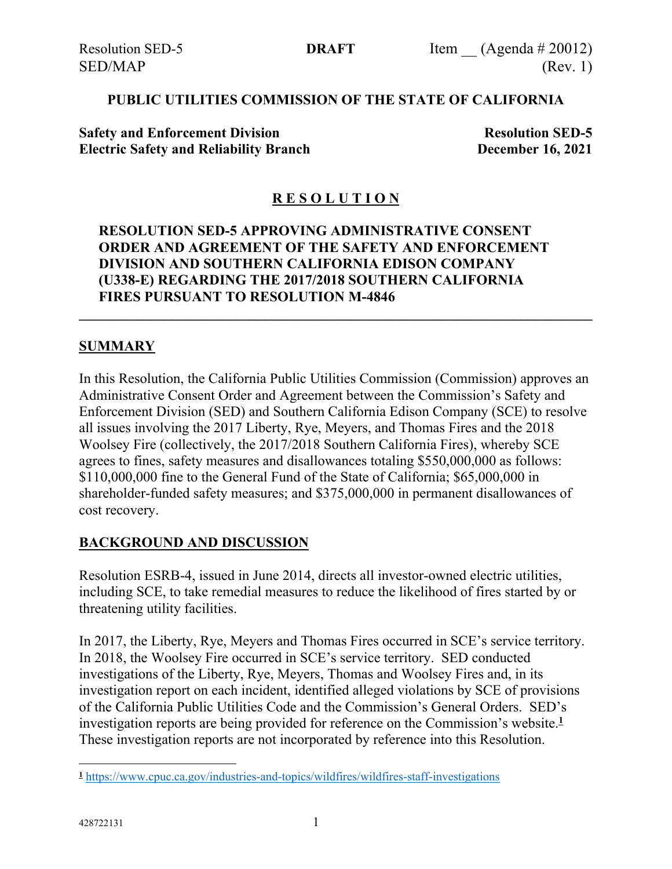### **PUBLIC UTILITIES COMMISSION OF THE STATE OF CALIFORNIA**

**Safety and Enforcement Division Resolution SED-5 Electric Safety and Reliability Branch December 16, 2021**

## **R E S O L U T I O N**

### **RESOLUTION SED-5 APPROVING ADMINISTRATIVE CONSENT ORDER AND AGREEMENT OF THE SAFETY AND ENFORCEMENT DIVISION AND SOUTHERN CALIFORNIA EDISON COMPANY (U338-E) REGARDING THE 2017/2018 SOUTHERN CALIFORNIA FIRES PURSUANT TO RESOLUTION M-4846**

**\_\_\_\_\_\_\_\_\_\_\_\_\_\_\_\_\_\_\_\_\_\_\_\_\_\_\_\_\_\_\_\_\_\_\_\_\_\_\_\_\_\_\_\_\_\_\_\_\_\_\_\_\_\_\_\_\_\_\_\_\_\_\_\_\_\_\_\_\_\_\_\_**

### **SUMMARY**

In this Resolution, the California Public Utilities Commission (Commission) approves an Administrative Consent Order and Agreement between the Commission's Safety and Enforcement Division (SED) and Southern California Edison Company (SCE) to resolve all issues involving the 2017 Liberty, Rye, Meyers, and Thomas Fires and the 2018 Woolsey Fire (collectively, the 2017/2018 Southern California Fires), whereby SCE agrees to fines, safety measures and disallowances totaling \$550,000,000 as follows: \$110,000,000 fine to the General Fund of the State of California; \$65,000,000 in shareholder-funded safety measures; and \$375,000,000 in permanent disallowances of cost recovery.

#### **BACKGROUND AND DISCUSSION**

Resolution ESRB-4, issued in June 2014, directs all investor-owned electric utilities, including SCE, to take remedial measures to reduce the likelihood of fires started by or threatening utility facilities.

In 2017, the Liberty, Rye, Meyers and Thomas Fires occurred in SCE's service territory. In 2018, the Woolsey Fire occurred in SCE's service territory. SED conducted investigations of the Liberty, Rye, Meyers, Thomas and Woolsey Fires and, in its investigation report on each incident, identified alleged violations by SCE of provisions of the California Public Utilities Code and the Commission's General Orders. SED's investigation reports are being provided for reference on the Commission's website.**<sup>1</sup>** These investigation reports are not incorporated by reference into this Resolution.

**<sup>1</sup>** <https://www.cpuc.ca.gov/industries-and-topics/wildfires/wildfires-staff-investigations>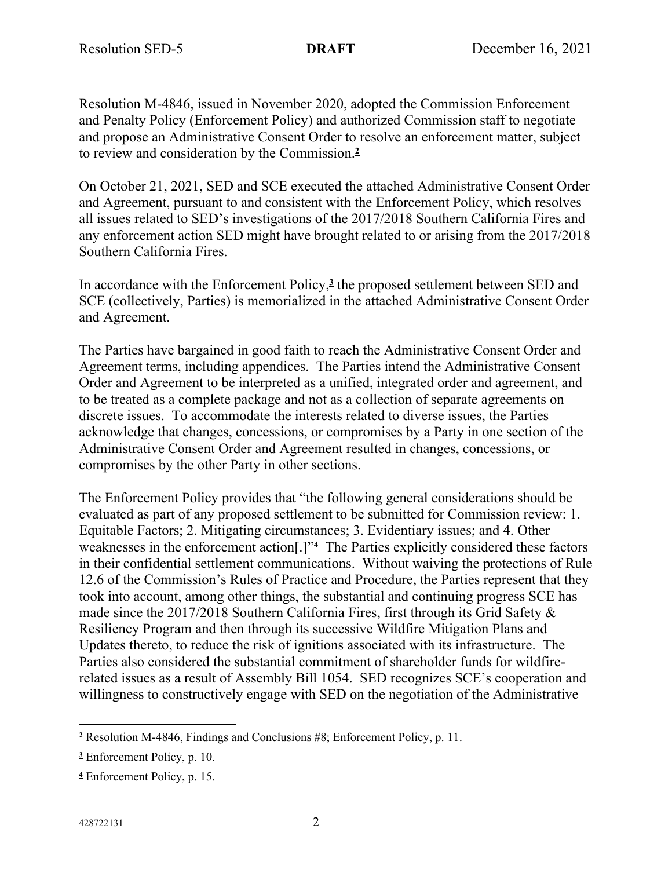Resolution M-4846, issued in November 2020, adopted the Commission Enforcement and Penalty Policy (Enforcement Policy) and authorized Commission staff to negotiate and propose an Administrative Consent Order to resolve an enforcement matter, subject to review and consideration by the Commission.**<sup>2</sup>**

On October 21, 2021, SED and SCE executed the attached Administrative Consent Order and Agreement, pursuant to and consistent with the Enforcement Policy, which resolves all issues related to SED's investigations of the 2017/2018 Southern California Fires and any enforcement action SED might have brought related to or arising from the 2017/2018 Southern California Fires.

In accordance with the Enforcement Policy,**<sup>3</sup>** the proposed settlement between SED and SCE (collectively, Parties) is memorialized in the attached Administrative Consent Order and Agreement.

The Parties have bargained in good faith to reach the Administrative Consent Order and Agreement terms, including appendices. The Parties intend the Administrative Consent Order and Agreement to be interpreted as a unified, integrated order and agreement, and to be treated as a complete package and not as a collection of separate agreements on discrete issues. To accommodate the interests related to diverse issues, the Parties acknowledge that changes, concessions, or compromises by a Party in one section of the Administrative Consent Order and Agreement resulted in changes, concessions, or compromises by the other Party in other sections.

The Enforcement Policy provides that "the following general considerations should be evaluated as part of any proposed settlement to be submitted for Commission review: 1. Equitable Factors; 2. Mitigating circumstances; 3. Evidentiary issues; and 4. Other weaknesses in the enforcement action[.]"**<sup>4</sup>** The Parties explicitly considered these factors in their confidential settlement communications. Without waiving the protections of Rule 12.6 of the Commission's Rules of Practice and Procedure, the Parties represent that they took into account, among other things, the substantial and continuing progress SCE has made since the 2017/2018 Southern California Fires, first through its Grid Safety & Resiliency Program and then through its successive Wildfire Mitigation Plans and Updates thereto, to reduce the risk of ignitions associated with its infrastructure. The Parties also considered the substantial commitment of shareholder funds for wildfirerelated issues as a result of Assembly Bill 1054. SED recognizes SCE's cooperation and willingness to constructively engage with SED on the negotiation of the Administrative

**<sup>2</sup>** Resolution M-4846, Findings and Conclusions #8; Enforcement Policy, p. 11.

**<sup>3</sup>** Enforcement Policy, p. 10.

**<sup>4</sup>** Enforcement Policy, p. 15.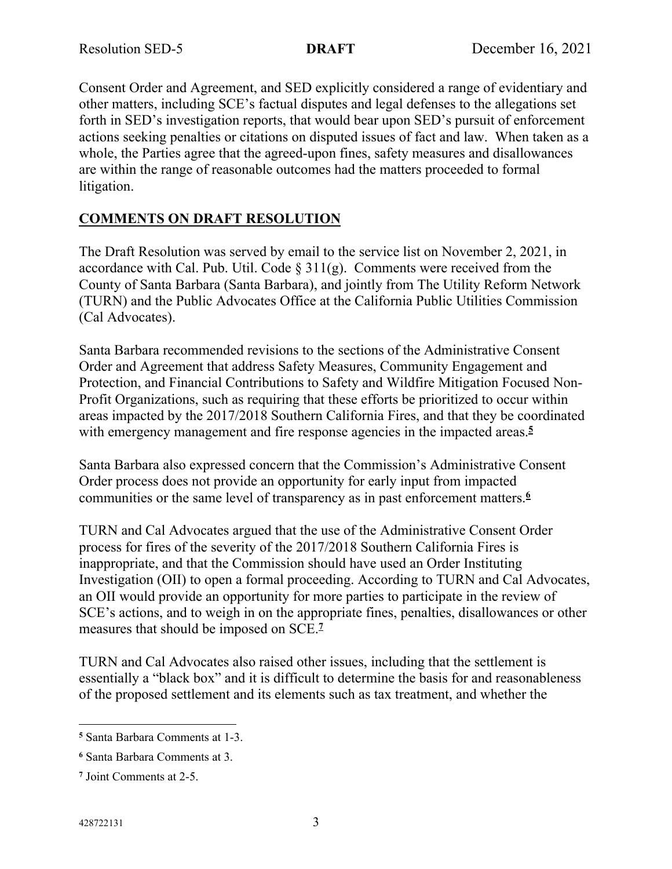Consent Order and Agreement, and SED explicitly considered a range of evidentiary and other matters, including SCE's factual disputes and legal defenses to the allegations set forth in SED's investigation reports, that would bear upon SED's pursuit of enforcement actions seeking penalties or citations on disputed issues of fact and law. When taken as a whole, the Parties agree that the agreed-upon fines, safety measures and disallowances are within the range of reasonable outcomes had the matters proceeded to formal litigation.

# **COMMENTS ON DRAFT RESOLUTION**

The Draft Resolution was served by email to the service list on November 2, 2021, in accordance with Cal. Pub. Util. Code  $\S 311(g)$ . Comments were received from the County of Santa Barbara (Santa Barbara), and jointly from The Utility Reform Network (TURN) and the Public Advocates Office at the California Public Utilities Commission (Cal Advocates).

Santa Barbara recommended revisions to the sections of the Administrative Consent Order and Agreement that address Safety Measures, Community Engagement and Protection, and Financial Contributions to Safety and Wildfire Mitigation Focused Non-Profit Organizations, such as requiring that these efforts be prioritized to occur within areas impacted by the 2017/2018 Southern California Fires, and that they be coordinated with emergency management and fire response agencies in the impacted areas.<sup>5</sup>

Santa Barbara also expressed concern that the Commission's Administrative Consent Order process does not provide an opportunity for early input from impacted communities or the same level of transparency as in past enforcement matters.**<sup>6</sup>**

TURN and Cal Advocates argued that the use of the Administrative Consent Order process for fires of the severity of the 2017/2018 Southern California Fires is inappropriate, and that the Commission should have used an Order Instituting Investigation (OII) to open a formal proceeding. According to TURN and Cal Advocates, an OII would provide an opportunity for more parties to participate in the review of SCE's actions, and to weigh in on the appropriate fines, penalties, disallowances or other measures that should be imposed on SCE.**<sup>7</sup>**

TURN and Cal Advocates also raised other issues, including that the settlement is essentially a "black box" and it is difficult to determine the basis for and reasonableness of the proposed settlement and its elements such as tax treatment, and whether the

**<sup>5</sup>** Santa Barbara Comments at 1-3.

**<sup>6</sup>** Santa Barbara Comments at 3.

**<sup>7</sup>** Joint Comments at 2-5.